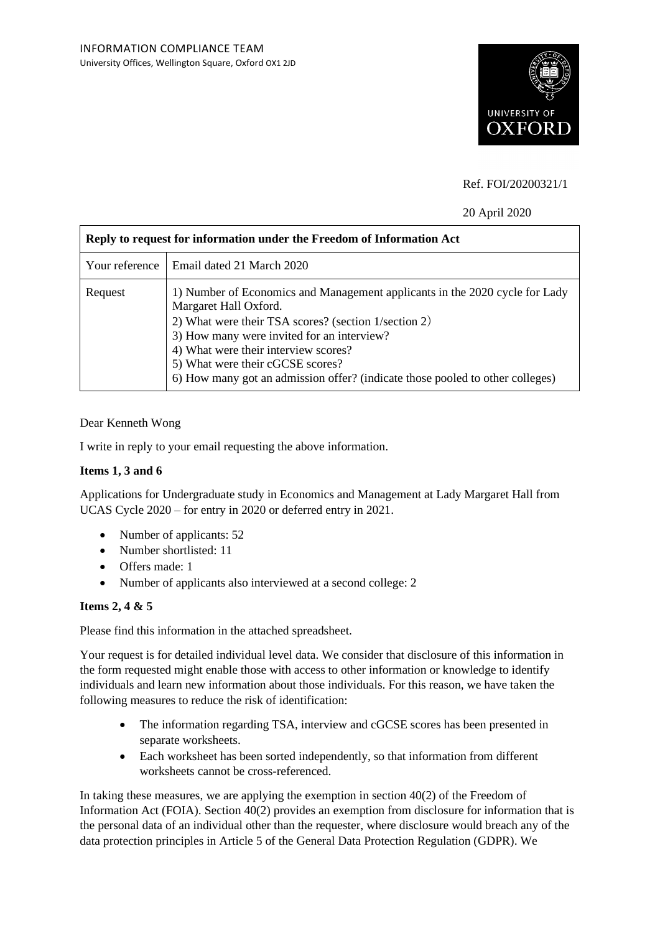

# Ref. FOI/20200321/1

## 20 April 2020

| Reply to request for information under the Freedom of Information Act |                                                                                                                                                                                                                                                                                                                                                                         |
|-----------------------------------------------------------------------|-------------------------------------------------------------------------------------------------------------------------------------------------------------------------------------------------------------------------------------------------------------------------------------------------------------------------------------------------------------------------|
|                                                                       | Your reference   Email dated 21 March 2020                                                                                                                                                                                                                                                                                                                              |
| Request                                                               | 1) Number of Economics and Management applicants in the 2020 cycle for Lady<br>Margaret Hall Oxford.<br>2) What were their TSA scores? (section 1/section 2)<br>3) How many were invited for an interview?<br>4) What were their interview scores?<br>5) What were their cGCSE scores?<br>6) How many got an admission offer? (indicate those pooled to other colleges) |

#### Dear Kenneth Wong

I write in reply to your email requesting the above information.

### **Items 1, 3 and 6**

Applications for Undergraduate study in Economics and Management at Lady Margaret Hall from UCAS Cycle 2020 – for entry in 2020 or deferred entry in 2021.

- Number of applicants: 52
- Number shortlisted: 11
- Offers made: 1
- Number of applicants also interviewed at a second college: 2

#### **Items 2, 4 & 5**

Please find this information in the attached spreadsheet.

Your request is for detailed individual level data. We consider that disclosure of this information in the form requested might enable those with access to other information or knowledge to identify individuals and learn new information about those individuals. For this reason, we have taken the following measures to reduce the risk of identification:

- The information regarding TSA, interview and cGCSE scores has been presented in separate worksheets.
- Each worksheet has been sorted independently, so that information from different worksheets cannot be cross-referenced.

In taking these measures, we are applying the exemption in section  $40(2)$  of the Freedom of Information Act (FOIA). Section 40(2) provides an exemption from disclosure for information that is the personal data of an individual other than the requester, where disclosure would breach any of the data protection principles in Article 5 of the General Data Protection Regulation (GDPR). We